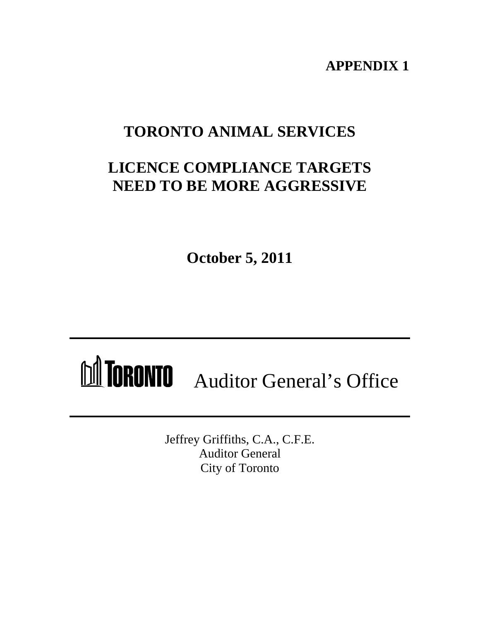**APPENDIX 1**

# **TORONTO ANIMAL SERVICES**

# **LICENCE COMPLIANCE TARGETS NEED TO BE MORE AGGRESSIVE**

**October 5, 2011**

# MICRONIO Auditor General's Office

Jeffrey Griffiths, C.A., C.F.E. Auditor General City of Toronto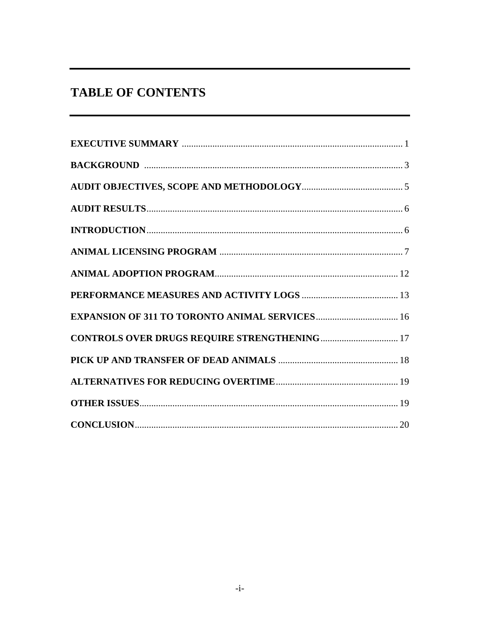## **TABLE OF CONTENTS**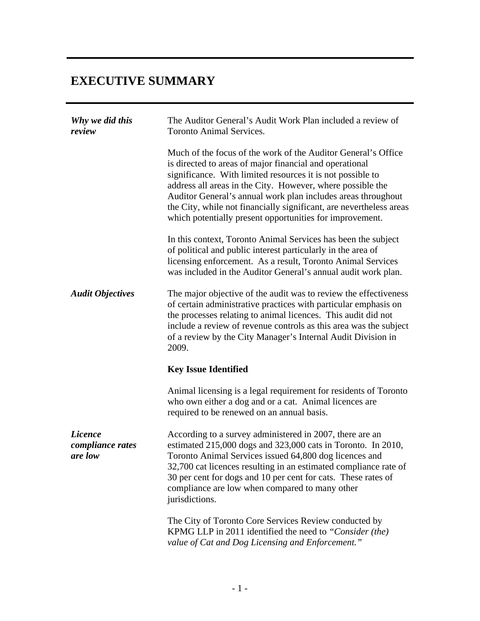| <b>EXECUTIVE SUMMARY</b>                      |                                                                                                                                                                                                                                                                                                                                                                                                                                                         |
|-----------------------------------------------|---------------------------------------------------------------------------------------------------------------------------------------------------------------------------------------------------------------------------------------------------------------------------------------------------------------------------------------------------------------------------------------------------------------------------------------------------------|
| Why we did this<br>review                     | The Auditor General's Audit Work Plan included a review of<br>Toronto Animal Services.                                                                                                                                                                                                                                                                                                                                                                  |
|                                               | Much of the focus of the work of the Auditor General's Office<br>is directed to areas of major financial and operational<br>significance. With limited resources it is not possible to<br>address all areas in the City. However, where possible the<br>Auditor General's annual work plan includes areas throughout<br>the City, while not financially significant, are nevertheless areas<br>which potentially present opportunities for improvement. |
|                                               | In this context, Toronto Animal Services has been the subject<br>of political and public interest particularly in the area of<br>licensing enforcement. As a result, Toronto Animal Services<br>was included in the Auditor General's annual audit work plan.                                                                                                                                                                                           |
| <b>Audit Objectives</b>                       | The major objective of the audit was to review the effectiveness<br>of certain administrative practices with particular emphasis on<br>the processes relating to animal licences. This audit did not<br>include a review of revenue controls as this area was the subject<br>of a review by the City Manager's Internal Audit Division in<br>2009.                                                                                                      |
|                                               | <b>Key Issue Identified</b>                                                                                                                                                                                                                                                                                                                                                                                                                             |
|                                               | Animal licensing is a legal requirement for residents of Toronto<br>who own either a dog and or a cat. Animal licences are<br>required to be renewed on an annual basis.                                                                                                                                                                                                                                                                                |
| <i>Licence</i><br>compliance rates<br>are low | According to a survey administered in 2007, there are an<br>estimated 215,000 dogs and 323,000 cats in Toronto. In 2010,<br>Toronto Animal Services issued 64,800 dog licences and<br>32,700 cat licences resulting in an estimated compliance rate of<br>30 per cent for dogs and 10 per cent for cats. These rates of<br>compliance are low when compared to many other<br>jurisdictions.                                                             |
|                                               | The City of Toronto Core Services Review conducted by<br>KPMG LLP in 2011 identified the need to "Consider (the)<br>value of Cat and Dog Licensing and Enforcement."                                                                                                                                                                                                                                                                                    |
|                                               |                                                                                                                                                                                                                                                                                                                                                                                                                                                         |
|                                               | $-1-$                                                                                                                                                                                                                                                                                                                                                                                                                                                   |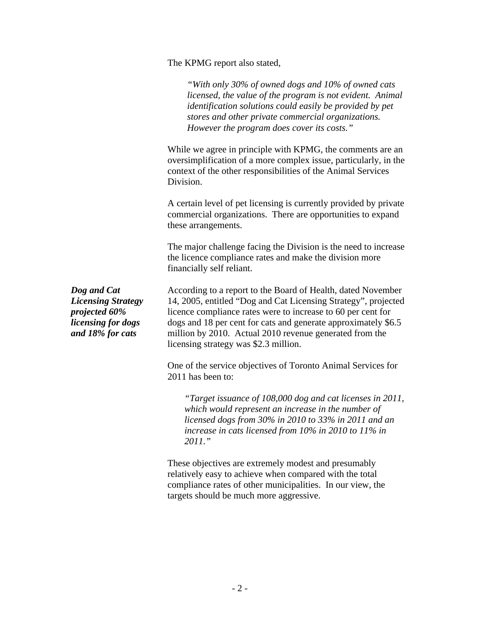The KPMG report also stated,

*"With only 30% of owned dogs and 10% of owned cats licensed, the value of the program is not evident. Animal identification solutions could easily be provided by pet stores and other private commercial organizations. However the program does cover its costs."*

While we agree in principle with KPMG, the comments are an oversimplification of a more complex issue, particularly, in the context of the other responsibilities of the Animal Services Division.

A certain level of pet licensing is currently provided by private commercial organizations. There are opportunities to expand these arrangements.

The major challenge facing the Division is the need to increase the licence compliance rates and make the division more financially self reliant.

*Dog and Cat*  According to a report to the Board of Health, dated November *Licensing Strategy*  14, 2005, entitled "Dog and Cat Licensing Strategy", projected *projected 60%*  licence compliance rates were to increase to 60 per cent for *licensing for dogs*  dogs and 18 per cent for cats and generate approximately \$6.5 *and 18% for cats* million by 2010. Actual 2010 revenue generated from the licensing strategy was \$2.3 million.

> One of the service objectives of Toronto Animal Services for 2011 has been to:

*"Target issuance of 108,000 dog and cat licenses in 2011, which would represent an increase in the number of licensed dogs from 30% in 2010 to 33% in 2011 and an increase in cats licensed from 10% in 2010 to 11% in 2011."*

These objectives are extremely modest and presumably relatively easy to achieve when compared with the total compliance rates of other municipalities. In our view, the targets should be much more aggressive.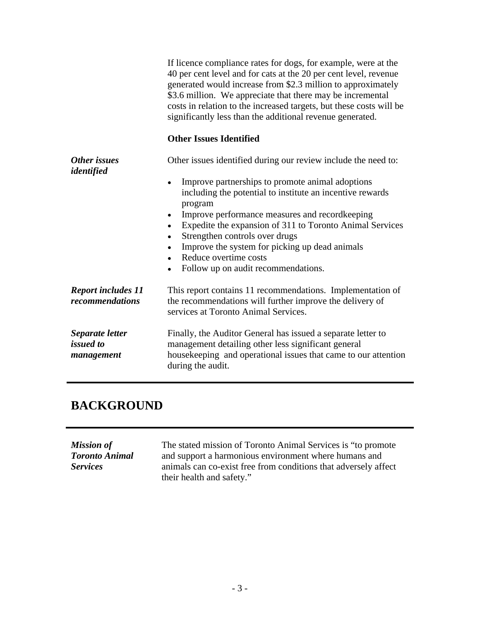|                            | If licence compliance rates for dogs, for example, were at the                                                                   |  |
|----------------------------|----------------------------------------------------------------------------------------------------------------------------------|--|
|                            | 40 per cent level and for cats at the 20 per cent level, revenue<br>generated would increase from \$2.3 million to approximately |  |
|                            | \$3.6 million. We appreciate that there may be incremental                                                                       |  |
|                            | costs in relation to the increased targets, but these costs will be                                                              |  |
|                            | significantly less than the additional revenue generated.                                                                        |  |
|                            | <b>Other Issues Identified</b>                                                                                                   |  |
| Other issues<br>identified | Other issues identified during our review include the need to:                                                                   |  |
|                            | • Improve partnerships to promote animal adoptions                                                                               |  |
|                            | including the potential to institute an incentive rewards                                                                        |  |
|                            | program                                                                                                                          |  |
|                            | • Improve performance measures and recordkeeping                                                                                 |  |
|                            | • Expedite the expansion of 311 to Toronto Animal Services                                                                       |  |
|                            | • Strengthen controls over drugs                                                                                                 |  |
|                            | • Improve the system for picking up dead animals                                                                                 |  |
|                            | • Reduce overtime costs                                                                                                          |  |
|                            | • Follow up on audit recommendations.                                                                                            |  |
| <b>Report includes 11</b>  | This report contains 11 recommendations. Implementation of                                                                       |  |
| recommendations            | the recommendations will further improve the delivery of                                                                         |  |
|                            | services at Toronto Animal Services.                                                                                             |  |
|                            |                                                                                                                                  |  |
| Separate letter            | Finally, the Auditor General has issued a separate letter to                                                                     |  |
| <i>issued to</i>           | management detailing other less significant general                                                                              |  |
| management                 | housekeeping and operational issues that came to our attention                                                                   |  |
|                            | during the audit.                                                                                                                |  |
|                            |                                                                                                                                  |  |

### **BACKGROUND**

| <b>Mission of</b>     | The stated mission of Toronto Animal Services is "to promote    |
|-----------------------|-----------------------------------------------------------------|
| <b>Toronto Animal</b> | and support a harmonious environment where humans and           |
| <b>Services</b>       | animals can co-exist free from conditions that adversely affect |
|                       | their health and safety."                                       |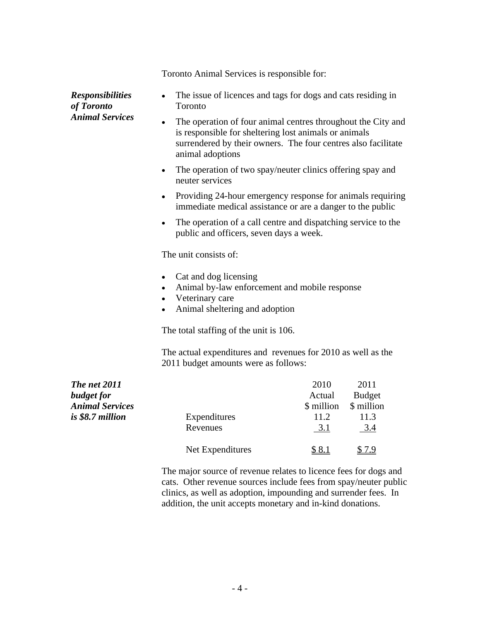Toronto Animal Services is responsible for:

- *Responsibilities*  The issue of licences and tags for dogs and cats residing in *of Toronto*  Toronto
- *Animal Services* The operation of four animal centres throughout the City and is responsible for sheltering lost animals or animals surrendered by their owners. The four centres also facilitate animal adoptions
	- The operation of two spay/neuter clinics offering spay and neuter services
	- Providing 24-hour emergency response for animals requiring immediate medical assistance or are a danger to the public
	- The operation of a call centre and dispatching service to the  $\bullet$ public and officers, seven days a week.

The unit consists of:

- Cat and dog licensing
- Animal by-law enforcement and mobile response
- Veterinary care
- Animal sheltering and adoption

The total staffing of the unit is 106.

The actual expenditures and revenues for 2010 as well as the 2011 budget amounts were as follows:

| <b>The net 2011</b><br><b>budget</b> for |                  | 2010<br>Actual                    | 2011<br><b>Budget</b> |  |
|------------------------------------------|------------------|-----------------------------------|-----------------------|--|
| <b>Animal Services</b>                   |                  | \$ million                        | \$ million            |  |
| is \$8.7 million                         | Expenditures     | 11 <sub>0</sub><br>$\blacksquare$ | 11.3                  |  |
|                                          | Revenues         |                                   | $\sim$<br>___         |  |
|                                          | Net Expenditures | ა გ.                              |                       |  |

The major source of revenue relates to licence fees for dogs and cats. Other revenue sources include fees from spay/neuter public clinics, as well as adoption, impounding and surrender fees. In addition, the unit accepts monetary and in-kind donations.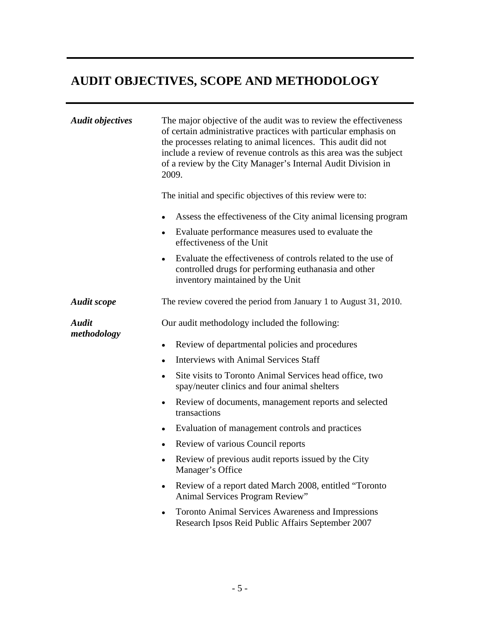| <b>Audit objectives</b><br>The major objective of the audit was to review the effectiveness<br>of certain administrative practices with particular emphasis on<br>the processes relating to animal licences. This audit did not<br>include a review of revenue controls as this area was the subject<br>of a review by the City Manager's Internal Audit Division in<br>2009.<br>The initial and specific objectives of this review were to:<br>• Assess the effectiveness of the City animal licensing program<br>• Evaluate performance measures used to evaluate the<br>effectiveness of the Unit<br>• Evaluate the effectiveness of controls related to the use of<br>controlled drugs for performing euthanasia and other<br>inventory maintained by the Unit<br>The review covered the period from January 1 to August 31, 2010.<br><b>Audit scope</b><br>Our audit methodology included the following:<br>methodology<br>• Review of departmental policies and procedures<br>• Interviews with Animal Services Staff<br>• Site visits to Toronto Animal Services head office, two<br>spay/neuter clinics and four animal shelters<br>• Review of documents, management reports and selected<br>transactions<br>• Evaluation of management controls and practices<br>• Review of various Council reports<br>• Review of previous audit reports issued by the City<br>Manager's Office<br>• Review of a report dated March 2008, entitled "Toronto<br>Animal Services Program Review"<br>• Toronto Animal Services Awareness and Impressions |              | <b>AUDIT OBJECTIVES, SCOPE AND METHODOLOGY</b>    |
|---------------------------------------------------------------------------------------------------------------------------------------------------------------------------------------------------------------------------------------------------------------------------------------------------------------------------------------------------------------------------------------------------------------------------------------------------------------------------------------------------------------------------------------------------------------------------------------------------------------------------------------------------------------------------------------------------------------------------------------------------------------------------------------------------------------------------------------------------------------------------------------------------------------------------------------------------------------------------------------------------------------------------------------------------------------------------------------------------------------------------------------------------------------------------------------------------------------------------------------------------------------------------------------------------------------------------------------------------------------------------------------------------------------------------------------------------------------------------------------------------------------------------------------------------|--------------|---------------------------------------------------|
|                                                                                                                                                                                                                                                                                                                                                                                                                                                                                                                                                                                                                                                                                                                                                                                                                                                                                                                                                                                                                                                                                                                                                                                                                                                                                                                                                                                                                                                                                                                                                   |              |                                                   |
|                                                                                                                                                                                                                                                                                                                                                                                                                                                                                                                                                                                                                                                                                                                                                                                                                                                                                                                                                                                                                                                                                                                                                                                                                                                                                                                                                                                                                                                                                                                                                   |              |                                                   |
|                                                                                                                                                                                                                                                                                                                                                                                                                                                                                                                                                                                                                                                                                                                                                                                                                                                                                                                                                                                                                                                                                                                                                                                                                                                                                                                                                                                                                                                                                                                                                   |              |                                                   |
|                                                                                                                                                                                                                                                                                                                                                                                                                                                                                                                                                                                                                                                                                                                                                                                                                                                                                                                                                                                                                                                                                                                                                                                                                                                                                                                                                                                                                                                                                                                                                   |              |                                                   |
|                                                                                                                                                                                                                                                                                                                                                                                                                                                                                                                                                                                                                                                                                                                                                                                                                                                                                                                                                                                                                                                                                                                                                                                                                                                                                                                                                                                                                                                                                                                                                   |              |                                                   |
|                                                                                                                                                                                                                                                                                                                                                                                                                                                                                                                                                                                                                                                                                                                                                                                                                                                                                                                                                                                                                                                                                                                                                                                                                                                                                                                                                                                                                                                                                                                                                   | <b>Audit</b> |                                                   |
|                                                                                                                                                                                                                                                                                                                                                                                                                                                                                                                                                                                                                                                                                                                                                                                                                                                                                                                                                                                                                                                                                                                                                                                                                                                                                                                                                                                                                                                                                                                                                   |              |                                                   |
|                                                                                                                                                                                                                                                                                                                                                                                                                                                                                                                                                                                                                                                                                                                                                                                                                                                                                                                                                                                                                                                                                                                                                                                                                                                                                                                                                                                                                                                                                                                                                   |              |                                                   |
|                                                                                                                                                                                                                                                                                                                                                                                                                                                                                                                                                                                                                                                                                                                                                                                                                                                                                                                                                                                                                                                                                                                                                                                                                                                                                                                                                                                                                                                                                                                                                   |              |                                                   |
|                                                                                                                                                                                                                                                                                                                                                                                                                                                                                                                                                                                                                                                                                                                                                                                                                                                                                                                                                                                                                                                                                                                                                                                                                                                                                                                                                                                                                                                                                                                                                   |              |                                                   |
|                                                                                                                                                                                                                                                                                                                                                                                                                                                                                                                                                                                                                                                                                                                                                                                                                                                                                                                                                                                                                                                                                                                                                                                                                                                                                                                                                                                                                                                                                                                                                   |              |                                                   |
|                                                                                                                                                                                                                                                                                                                                                                                                                                                                                                                                                                                                                                                                                                                                                                                                                                                                                                                                                                                                                                                                                                                                                                                                                                                                                                                                                                                                                                                                                                                                                   |              |                                                   |
|                                                                                                                                                                                                                                                                                                                                                                                                                                                                                                                                                                                                                                                                                                                                                                                                                                                                                                                                                                                                                                                                                                                                                                                                                                                                                                                                                                                                                                                                                                                                                   |              |                                                   |
|                                                                                                                                                                                                                                                                                                                                                                                                                                                                                                                                                                                                                                                                                                                                                                                                                                                                                                                                                                                                                                                                                                                                                                                                                                                                                                                                                                                                                                                                                                                                                   |              |                                                   |
|                                                                                                                                                                                                                                                                                                                                                                                                                                                                                                                                                                                                                                                                                                                                                                                                                                                                                                                                                                                                                                                                                                                                                                                                                                                                                                                                                                                                                                                                                                                                                   |              | Research Ipsos Reid Public Affairs September 2007 |
|                                                                                                                                                                                                                                                                                                                                                                                                                                                                                                                                                                                                                                                                                                                                                                                                                                                                                                                                                                                                                                                                                                                                                                                                                                                                                                                                                                                                                                                                                                                                                   |              |                                                   |
|                                                                                                                                                                                                                                                                                                                                                                                                                                                                                                                                                                                                                                                                                                                                                                                                                                                                                                                                                                                                                                                                                                                                                                                                                                                                                                                                                                                                                                                                                                                                                   |              | $-5-$                                             |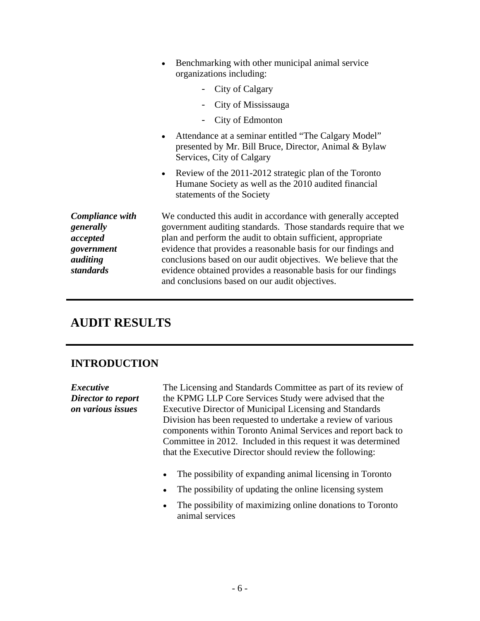|                                                                                        | • Benchmarking with other municipal animal service<br>organizations including:                                                                                                                                                                                                                                                                                                                                                                          |
|----------------------------------------------------------------------------------------|---------------------------------------------------------------------------------------------------------------------------------------------------------------------------------------------------------------------------------------------------------------------------------------------------------------------------------------------------------------------------------------------------------------------------------------------------------|
|                                                                                        | - City of Calgary                                                                                                                                                                                                                                                                                                                                                                                                                                       |
|                                                                                        | - City of Mississauga                                                                                                                                                                                                                                                                                                                                                                                                                                   |
|                                                                                        | - City of Edmonton                                                                                                                                                                                                                                                                                                                                                                                                                                      |
|                                                                                        | • Attendance at a seminar entitled "The Calgary Model"<br>presented by Mr. Bill Bruce, Director, Animal & Bylaw<br>Services, City of Calgary                                                                                                                                                                                                                                                                                                            |
|                                                                                        | • Review of the 2011-2012 strategic plan of the Toronto<br>Humane Society as well as the 2010 audited financial<br>statements of the Society                                                                                                                                                                                                                                                                                                            |
| <b>Compliance with</b><br>generally<br>accepted<br>government<br>auditing<br>standards | We conducted this audit in accordance with generally accepted<br>government auditing standards. Those standards require that we<br>plan and perform the audit to obtain sufficient, appropriate<br>evidence that provides a reasonable basis for our findings and<br>conclusions based on our audit objectives. We believe that the<br>evidence obtained provides a reasonable basis for our findings<br>and conclusions based on our audit objectives. |
| <b>AUDIT RESULTS</b>                                                                   |                                                                                                                                                                                                                                                                                                                                                                                                                                                         |
| <b>INTRODUCTION</b>                                                                    |                                                                                                                                                                                                                                                                                                                                                                                                                                                         |
| <i>Executive</i><br>Director to report<br>on various issues                            | The Licensing and Standards Committee as part of its review of<br>the KPMG LLP Core Services Study were advised that the<br>Executive Director of Municipal Licensing and Standards<br>Division has been requested to undertake a review of various<br>components within Toronto Animal Services and report back to<br>Committee in 2012. Included in this request it was determined<br>that the Executive Director should review the following:        |
|                                                                                        | • The possibility of expanding animal licensing in Toronto                                                                                                                                                                                                                                                                                                                                                                                              |
|                                                                                        | • The possibility of updating the online licensing system                                                                                                                                                                                                                                                                                                                                                                                               |
|                                                                                        | • The possibility of maximizing online donations to Toronto<br>animal services                                                                                                                                                                                                                                                                                                                                                                          |
|                                                                                        |                                                                                                                                                                                                                                                                                                                                                                                                                                                         |
|                                                                                        |                                                                                                                                                                                                                                                                                                                                                                                                                                                         |
|                                                                                        |                                                                                                                                                                                                                                                                                                                                                                                                                                                         |
|                                                                                        | $-6-$                                                                                                                                                                                                                                                                                                                                                                                                                                                   |

### **AUDIT RESULTS**

### **INTRODUCTION**

- The possibility of expanding animal licensing in Toronto  $\bullet$
- The possibility of updating the online licensing system  $\bullet$
- The possibility of maximizing online donations to Toronto  $\bullet$ animal services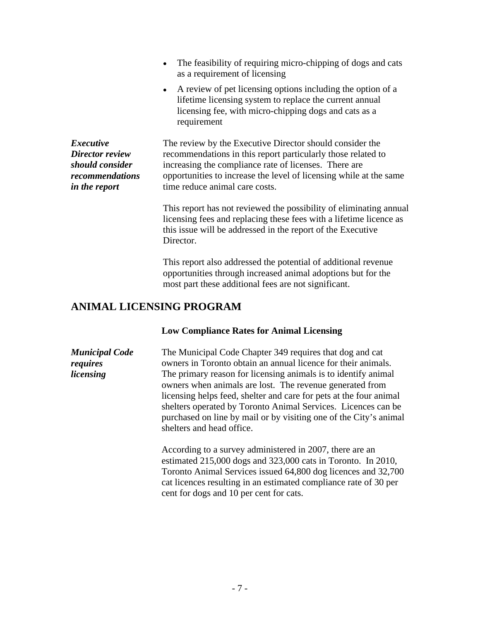- The feasibility of requiring micro-chipping of dogs and cats  $\bullet$ as a requirement of licensing
	- A review of pet licensing options including the option of a  $\bullet$ lifetime licensing system to replace the current annual licensing fee, with micro-chipping dogs and cats as a requirement and the state of the state of the state of the state of the state of the state of the state of the

**Executive** The review by the Executive Director should consider the *Director review*  recommendations in this report particularly those related to *should consider*  increasing the compliance rate of licenses. There are *recommendations*  opportunities to increase the level of licensing while at the same *in the report* time reduce animal care costs.

> This report has not reviewed the possibility of eliminating annual licensing fees and replacing these fees with a lifetime licence as this issue will be addressed in the report of the Executive Director.

This report also addressed the potential of additional revenue opportunities through increased animal adoptions but for the most part these additional fees are not significant.

#### **ANIMAL LICENSING PROGRAM**

#### **Low Compliance Rates for Animal Licensing**

*Municipal Code*  The Municipal Code Chapter 349 requires that dog and cat *requires* owners in Toronto obtain an annual licence for their animals. *requires* owners in Toronto obtain an annual licence for their animals.<br> *licensing* The primary reason for licensing animals is to identify animal owners when animals are lost. The revenue generated from licensing helps feed, shelter and care for pets at the four animal shelters operated by Toronto Animal Services. Licences can be purchased on line by mail or by visiting one of the City's animal shelters and head office.

> According to a survey administered in 2007, there are an estimated 215,000 dogs and 323,000 cats in Toronto. In 2010, Toronto Animal Services issued 64,800 dog licences and 32,700 cat licences resulting in an estimated compliance rate of 30 per cent for dogs and 10 per cent for cats.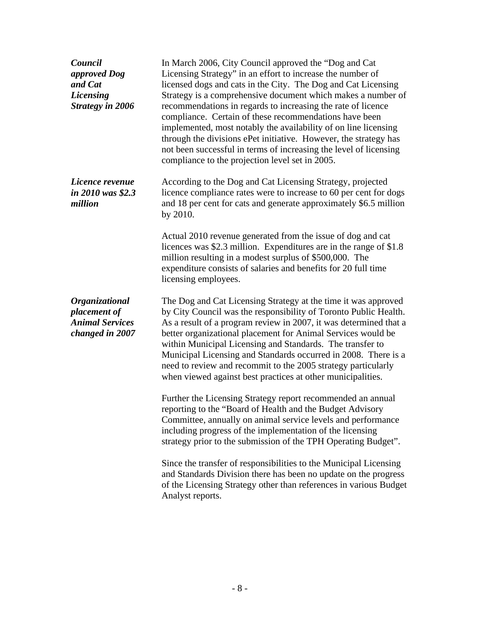| Council<br>approved Dog<br>and Cat<br>Licensing<br><b>Strategy in 2006</b>         | In March 2006, City Council approved the "Dog and Cat<br>Licensing Strategy" in an effort to increase the number of<br>licensed dogs and cats in the City. The Dog and Cat Licensing<br>Strategy is a comprehensive document which makes a number of<br>recommendations in regards to increasing the rate of licence<br>compliance. Certain of these recommendations have been<br>implemented, most notably the availability of on line licensing<br>through the divisions ePet initiative. However, the strategy has<br>not been successful in terms of increasing the level of licensing<br>compliance to the projection level set in 2005.                                                                                                                                                                                                                     |  |  |  |
|------------------------------------------------------------------------------------|-------------------------------------------------------------------------------------------------------------------------------------------------------------------------------------------------------------------------------------------------------------------------------------------------------------------------------------------------------------------------------------------------------------------------------------------------------------------------------------------------------------------------------------------------------------------------------------------------------------------------------------------------------------------------------------------------------------------------------------------------------------------------------------------------------------------------------------------------------------------|--|--|--|
| Licence revenue<br>in 2010 was \$2.3<br>million                                    | According to the Dog and Cat Licensing Strategy, projected<br>licence compliance rates were to increase to 60 per cent for dogs<br>and 18 per cent for cats and generate approximately \$6.5 million<br>by 2010.<br>Actual 2010 revenue generated from the issue of dog and cat<br>licences was \$2.3 million. Expenditures are in the range of \$1.8<br>million resulting in a modest surplus of \$500,000. The<br>expenditure consists of salaries and benefits for 20 full time<br>licensing employees.                                                                                                                                                                                                                                                                                                                                                        |  |  |  |
| <b>Organizational</b><br>placement of<br><b>Animal Services</b><br>changed in 2007 | The Dog and Cat Licensing Strategy at the time it was approved<br>by City Council was the responsibility of Toronto Public Health.<br>As a result of a program review in 2007, it was determined that a<br>better organizational placement for Animal Services would be<br>within Municipal Licensing and Standards. The transfer to<br>Municipal Licensing and Standards occurred in 2008. There is a<br>need to review and recommit to the 2005 strategy particularly<br>when viewed against best practices at other municipalities.<br>Further the Licensing Strategy report recommended an annual<br>reporting to the "Board of Health and the Budget Advisory<br>Committee, annually on animal service levels and performance<br>including progress of the implementation of the licensing<br>strategy prior to the submission of the TPH Operating Budget". |  |  |  |
|                                                                                    | Since the transfer of responsibilities to the Municipal Licensing<br>and Standards Division there has been no update on the progress<br>of the Licensing Strategy other than references in various Budget<br>Analyst reports.                                                                                                                                                                                                                                                                                                                                                                                                                                                                                                                                                                                                                                     |  |  |  |
|                                                                                    | $-8-$                                                                                                                                                                                                                                                                                                                                                                                                                                                                                                                                                                                                                                                                                                                                                                                                                                                             |  |  |  |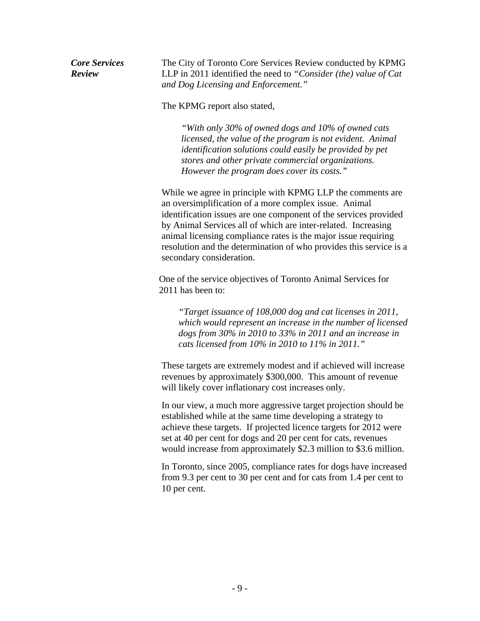*Review* LLP in 2011 identified the need to *"Consider (the) value of Cat*  The City of Toronto Core Services Review conducted by KPMG *and Dog Licensing and Enforcement."*

The KPMG report also stated,

*"With only 30% of owned dogs and 10% of owned cats licensed, the value of the program is not evident. Animal identification solutions could easily be provided by pet stores and other private commercial organizations. However the program does cover its costs."*

Cow Services The City of Trooton Core Services conducted by *FCMG*<br>The City of Trooton Core Services Review conducts of the United Services and D<sub>C</sub> (Case Lemma Dag Discoveries and D<sub>C</sub> (Case Lemma United Services and D<sub>C</sub> While we agree in principle with KPMG LLP the comments are an oversimplification of a more complex issue. Animal identification issues are one component of the services provided by Animal Services all of which are inter-related. Increasing animal licensing compliance rates is the major issue requiring resolution and the determination of who provides this service is a secondary consideration.

One of the service objectives of Toronto Animal Services for 2011 has been to:

*"Target issuance of 108,000 dog and cat licenses in 2011, which would represent an increase in the number of licensed dogs from 30% in 2010 to 33% in 2011 and an increase in cats licensed from 10% in 2010 to 11% in 2011."*

These targets are extremely modest and if achieved will increase revenues by approximately \$300,000. This amount of revenue will likely cover inflationary cost increases only.

In our view, a much more aggressive target projection should be established while at the same time developing a strategy to achieve these targets. If projected licence targets for 2012 were set at 40 per cent for dogs and 20 per cent for cats, revenues would increase from approximately \$2.3 million to \$3.6 million.

In Toronto, since 2005, compliance rates for dogs have increased from 9.3 per cent to 30 per cent and for cats from 1.4 per cent to 10 per cent.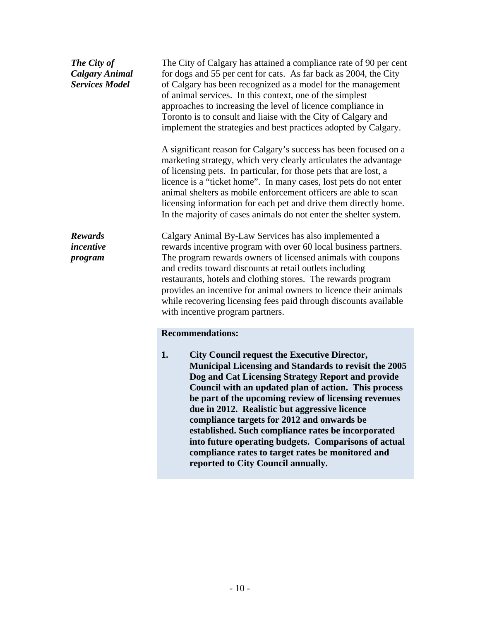| The City of<br><b>Calgary Animal</b><br><b>Services Model</b> | The City of Calgary has attained a compliance rate of 90 per cent<br>for dogs and 55 per cent for cats. As far back as 2004, the City<br>of Calgary has been recognized as a model for the management<br>of animal services. In this context, one of the simplest<br>approaches to increasing the level of licence compliance in<br>Toronto is to consult and liaise with the City of Calgary and<br>implement the strategies and best practices adopted by Calgary.                            |
|---------------------------------------------------------------|-------------------------------------------------------------------------------------------------------------------------------------------------------------------------------------------------------------------------------------------------------------------------------------------------------------------------------------------------------------------------------------------------------------------------------------------------------------------------------------------------|
|                                                               | A significant reason for Calgary's success has been focused on a<br>marketing strategy, which very clearly articulates the advantage<br>of licensing pets. In particular, for those pets that are lost, a<br>licence is a "ticket home". In many cases, lost pets do not enter<br>animal shelters as mobile enforcement officers are able to scan<br>licensing information for each pet and drive them directly home.                                                                           |
|                                                               | In the majority of cases animals do not enter the shelter system.                                                                                                                                                                                                                                                                                                                                                                                                                               |
| <b>Rewards</b><br>incentive<br>program                        | Calgary Animal By-Law Services has also implemented a<br>rewards incentive program with over 60 local business partners.<br>The program rewards owners of licensed animals with coupons<br>and credits toward discounts at retail outlets including<br>restaurants, hotels and clothing stores. The rewards program<br>provides an incentive for animal owners to licence their animals<br>while recovering licensing fees paid through discounts available<br>with incentive program partners. |
|                                                               | <b>Recommendations:</b>                                                                                                                                                                                                                                                                                                                                                                                                                                                                         |
|                                                               | City Council request the Executive Director,                                                                                                                                                                                                                                                                                                                                                                                                                                                    |

**Municipal Licensing and Standards to revisit the 2005 Dog and Cat Licensing Strategy Report and provide Council with an updated plan of action. This process be part of the upcoming review of licensing revenues due in 2012. Realistic but aggressive licence compliance targets for 2012 and onwards be established. Such compliance rates be incorporated into future operating budgets. Comparisons of actual compliance rates to target rates be monitored and reported to City Council annually.**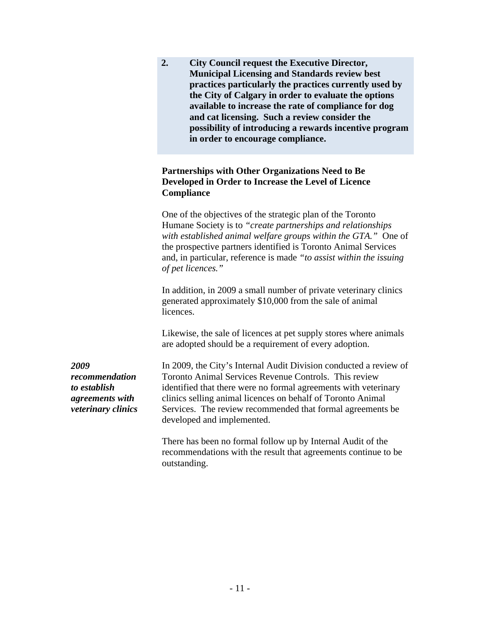|                                                                                 | <b>City Council request the Executive Director,</b><br><b>Municipal Licensing and Standards review best</b><br>practices particularly the practices currently used by<br>the City of Calgary in order to evaluate the options<br>available to increase the rate of compliance for dog<br>and cat licensing. Such a review consider the<br>possibility of introducing a rewards incentive program<br>in order to encourage compliance. |
|---------------------------------------------------------------------------------|---------------------------------------------------------------------------------------------------------------------------------------------------------------------------------------------------------------------------------------------------------------------------------------------------------------------------------------------------------------------------------------------------------------------------------------|
|                                                                                 | Partnerships with Other Organizations Need to Be<br>Developed in Order to Increase the Level of Licence<br><b>Compliance</b>                                                                                                                                                                                                                                                                                                          |
|                                                                                 | One of the objectives of the strategic plan of the Toronto<br>Humane Society is to "create partnerships and relationships"<br>with established animal welfare groups within the GTA." One of<br>the prospective partners identified is Toronto Animal Services<br>and, in particular, reference is made "to assist within the issuing<br>of pet licences."                                                                            |
|                                                                                 | In addition, in 2009 a small number of private veterinary clinics<br>generated approximately \$10,000 from the sale of animal<br>licences.                                                                                                                                                                                                                                                                                            |
|                                                                                 | Likewise, the sale of licences at pet supply stores where animals<br>are adopted should be a requirement of every adoption.                                                                                                                                                                                                                                                                                                           |
| 2009<br>recommendation<br>to establish<br>agreements with<br>veterinary clinics | In 2009, the City's Internal Audit Division conducted a review of<br>Toronto Animal Services Revenue Controls. This review<br>identified that there were no formal agreements with veterinary<br>clinics selling animal licences on behalf of Toronto Animal<br>Services. The review recommended that formal agreements be<br>developed and implemented.                                                                              |
|                                                                                 | There has been no formal follow up by Internal Audit of the<br>recommendations with the result that agreements continue to be<br>outstanding.                                                                                                                                                                                                                                                                                         |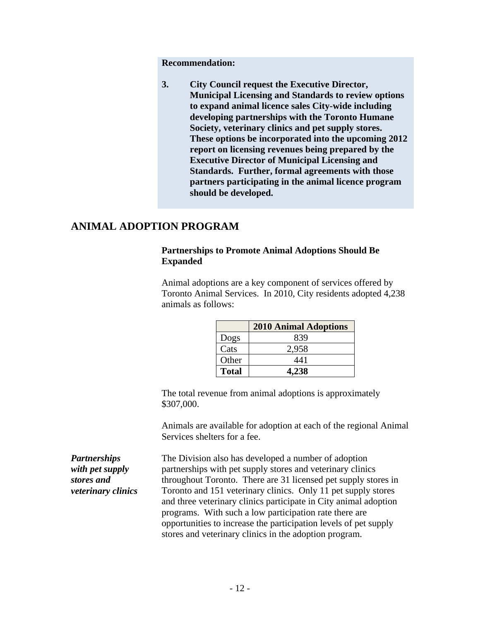Recommendation:<br> **S.** City Council request the Executive Director,<br> **Municipal Licensing and Standards to review options**<br>
to expand animal litence sales City-wide including<br>
developing partnerships with the Toronto Hurman **3. City Council request the Executive Director, Municipal Licensing and Standards to review options to expand animal licence sales City-wide including developing partnerships with the Toronto Humane Society, veterinary clinics and pet supply stores. These options be incorporated into the upcoming 2012 report on licensing revenues being prepared by the Executive Director of Municipal Licensing and Standards. Further, formal agreements with those partners participating in the animal licence program should be developed.**

#### **ANIMAL ADOPTION PROGRAM**

#### **Partnerships to Promote Animal Adoptions Should Be Expanded**

Animal adoptions are a key component of services offered by Toronto Animal Services. In 2010, City residents adopted 4,238 animals as follows:

|              | 2010<br><b>Animal Adoptions</b> |
|--------------|---------------------------------|
| Dogs         | 930<br>◡◡                       |
| Cats         | 2000<br>ر د پ                   |
| Other        | - 44.                           |
| <b>Total</b> | AA<br>$-1,4.56$                 |

The total revenue from animal adoptions is approximately \$307,000.

Animals are available for adoption at each of the regional Animal Services shelters for a fee.

*Partnerships*  The Division also has developed a number of adoption with pet supply extensities with pet supply stores and veterinary clinics *stores and*  throughout Toronto. There are 31 licensed pet supply stores in *veterinary clinics* Toronto and 151 veterinary clinics. Only 11 pet supply stores and three veterinary clinics participate in City animal adoption programs. With such a low participation rate there are opportunities to increase the participation levels of pet supply stores and veterinary clinics in the adoption program.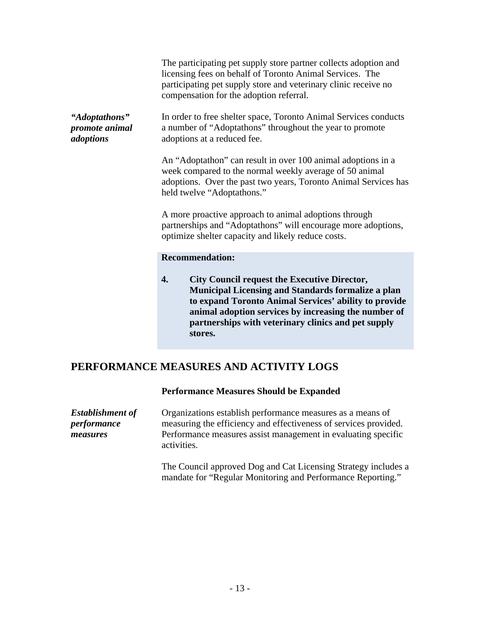|                                              | The participating pet supply store partner collects adoption and<br>licensing fees on behalf of Toronto Animal Services. The<br>participating pet supply store and veterinary clinic receive no<br>compensation for the adoption referral.                                                     |  |
|----------------------------------------------|------------------------------------------------------------------------------------------------------------------------------------------------------------------------------------------------------------------------------------------------------------------------------------------------|--|
| "Adoptathons"<br>promote animal<br>adoptions | In order to free shelter space, Toronto Animal Services conducts<br>a number of "Adoptathons" throughout the year to promote<br>adoptions at a reduced fee.                                                                                                                                    |  |
|                                              | An "Adoptathon" can result in over 100 animal adoptions in a<br>week compared to the normal weekly average of 50 animal<br>adoptions. Over the past two years, Toronto Animal Services has<br>held twelve "Adoptathons."                                                                       |  |
|                                              | A more proactive approach to animal adoptions through<br>partnerships and "Adoptathons" will encourage more adoptions,<br>optimize shelter capacity and likely reduce costs.                                                                                                                   |  |
|                                              | <b>Recommendation:</b>                                                                                                                                                                                                                                                                         |  |
|                                              | <b>City Council request the Executive Director,</b><br>4.<br><b>Municipal Licensing and Standards formalize a plan</b><br>to expand Toronto Animal Services' ability to provide<br>animal adoption services by increasing the number of<br>partnerships with veterinary clinics and pet supply |  |

### **PERFORMANCE MEASURES AND ACTIVITY LOGS**

#### **Performance Measures Should be Expanded**

| <b>Establishment of</b> | Organizations establish performance measures as a means of       |  |
|-------------------------|------------------------------------------------------------------|--|
| <i>performance</i>      | measuring the efficiency and effectiveness of services provided. |  |
| measures                | Performance measures assist management in evaluating specific    |  |
|                         | activities.                                                      |  |

The Council approved Dog and Cat Licensing Strategy includes a mandate for "Regular Monitoring and Performance Reporting."

**stores.** The contract of the contract of the contract of the contract of the contract of the contract of the contract of the contract of the contract of the contract of the contract of the contract of the contract of the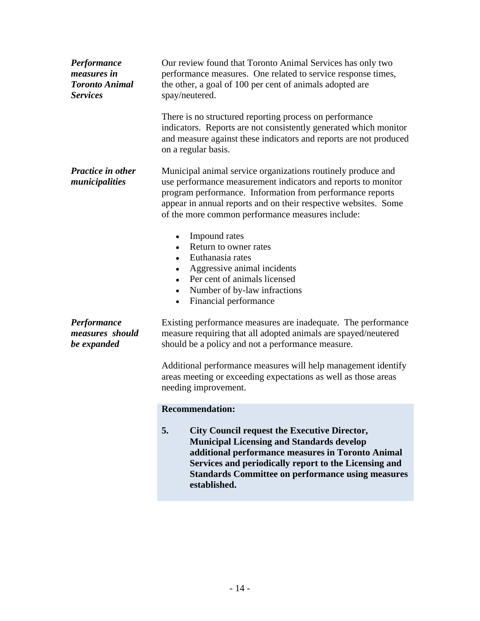| Performance<br><i>measures in</i><br><b>Toronto Animal</b><br><b>Services</b> | Our review found that Toronto Animal Services has only two<br>performance measures. One related to service response times,<br>the other, a goal of 100 per cent of animals adopted are<br>spay/neutered.                                                                                                                                        |
|-------------------------------------------------------------------------------|-------------------------------------------------------------------------------------------------------------------------------------------------------------------------------------------------------------------------------------------------------------------------------------------------------------------------------------------------|
|                                                                               | There is no structured reporting process on performance<br>indicators. Reports are not consistently generated which monitor<br>and measure against these indicators and reports are not produced<br>on a regular basis.                                                                                                                         |
| Practice in other<br>municipalities                                           | Municipal animal service organizations routinely produce and<br>use performance measurement indicators and reports to monitor<br>program performance. Information from performance reports<br>appear in annual reports and on their respective websites. Some<br>of the more common performance measures include:                               |
|                                                                               | • Impound rates<br>• Return to owner rates<br>• Euthanasia rates<br>• Aggressive animal incidents<br>• Per cent of animals licensed<br>• Number of by-law infractions<br>• Financial performance                                                                                                                                                |
| Performance<br>measures should<br>be expanded                                 | Existing performance measures are inadequate. The performance<br>measure requiring that all adopted animals are spayed/neutered<br>should be a policy and not a performance measure.<br>Additional performance measures will help management identify<br>areas meeting or exceeding expectations as well as those areas<br>needing improvement. |
|                                                                               | <b>Recommendation:</b>                                                                                                                                                                                                                                                                                                                          |
|                                                                               | <b>City Council request the Executive Director,</b><br>5.<br><b>Municipal Licensing and Standards develop</b><br>additional performance measures in Toronto Animal<br>Services and periodically report to the Licensing and<br><b>Standards Committee on performance using measures</b><br>established.                                         |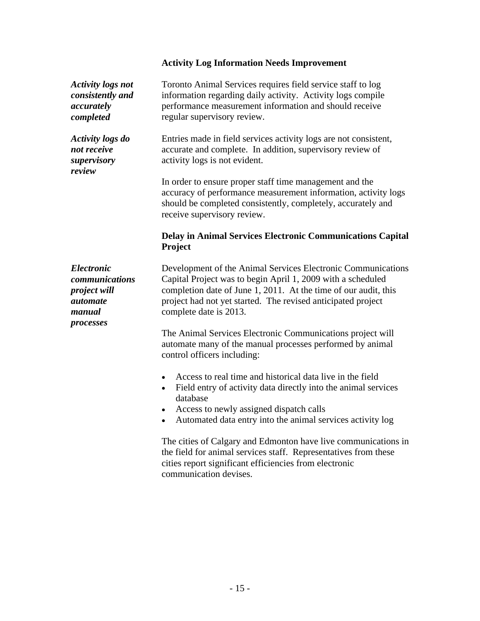|                                                                                                      | <b>Activity Log Information Needs Improvement</b>                                                                                                                                                                                                                                        |
|------------------------------------------------------------------------------------------------------|------------------------------------------------------------------------------------------------------------------------------------------------------------------------------------------------------------------------------------------------------------------------------------------|
| <b>Activity logs not</b><br>consistently and<br>accurately<br>completed                              | Toronto Animal Services requires field service staff to log<br>information regarding daily activity. Activity logs compile<br>performance measurement information and should receive<br>regular supervisory review.                                                                      |
| <b>Activity logs do</b><br>not receive<br>supervisory<br>review                                      | Entries made in field services activity logs are not consistent,<br>accurate and complete. In addition, supervisory review of<br>activity logs is not evident.                                                                                                                           |
|                                                                                                      | In order to ensure proper staff time management and the<br>accuracy of performance measurement information, activity logs<br>should be completed consistently, completely, accurately and<br>receive supervisory review.                                                                 |
|                                                                                                      | Delay in Animal Services Electronic Communications Capital<br>Project                                                                                                                                                                                                                    |
| <i><b>Electronic</b></i><br>communications<br>project will<br><i>automate</i><br>manual<br>processes | Development of the Animal Services Electronic Communications<br>Capital Project was to begin April 1, 2009 with a scheduled<br>completion date of June 1, 2011. At the time of our audit, this<br>project had not yet started. The revised anticipated project<br>complete date is 2013. |
|                                                                                                      | The Animal Services Electronic Communications project will<br>automate many of the manual processes performed by animal<br>control officers including:                                                                                                                                   |
|                                                                                                      | Access to real time and historical data live in the field<br>• Field entry of activity data directly into the animal services<br>database<br>• Access to newly assigned dispatch calls                                                                                                   |
|                                                                                                      | • Automated data entry into the animal services activity log                                                                                                                                                                                                                             |
|                                                                                                      | The cities of Calgary and Edmonton have live communications in<br>the field for animal services staff. Representatives from these<br>cities report significant efficiencies from electronic<br>communication devises.                                                                    |
|                                                                                                      |                                                                                                                                                                                                                                                                                          |
|                                                                                                      |                                                                                                                                                                                                                                                                                          |
|                                                                                                      |                                                                                                                                                                                                                                                                                          |
|                                                                                                      | $-15-$                                                                                                                                                                                                                                                                                   |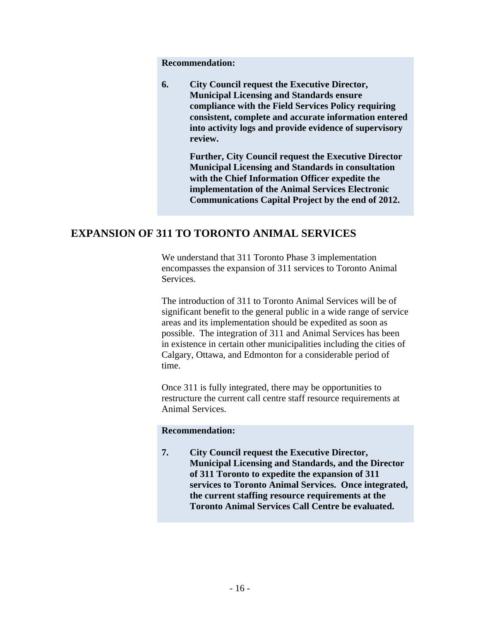**6. City Council request the Executive Director, Municipal Licensing and Standards ensure compliance with the Field Services Policy requiring consistent, complete and accurate information entered into activity logs and provide evidence of supervisory review.**

**Further, City Council request the Executive Director Municipal Licensing and Standards in consultation with the Chief Information Officer expedite the implementation of the Animal Services Electronic Communications Capital Project by the end of 2012.**

#### **EXPANSION OF 311 TO TORONTO ANIMAL SERVICES**

We understand that 311 Toronto Phase 3 implementation encompasses the expansion of 311 services to Toronto Animal Services.

Recommendation:<br> **Calcomendation:**<br> **Calcomendation**: **Calcomendation State Since this the Find Services Doligy requiring consistent, complete and accurate information enterered into activity logs and provide evidence of** The introduction of 311 to Toronto Animal Services will be of significant benefit to the general public in a wide range of service areas and its implementation should be expedited as soon as possible. The integration of 311 and Animal Services has been in existence in certain other municipalities including the cities of Calgary, Ottawa, and Edmonton for a considerable period of time.

Once 311 is fully integrated, there may be opportunities to restructure the current call centre staff resource requirements at Animal Services.

#### **Recommendation:**

**7. City Council request the Executive Director, Municipal Licensing and Standards, and the Director of 311 Toronto to expedite the expansion of 311 services to Toronto Animal Services. Once integrated, the current staffing resource requirements at the Toronto Animal Services Call Centre be evaluated.**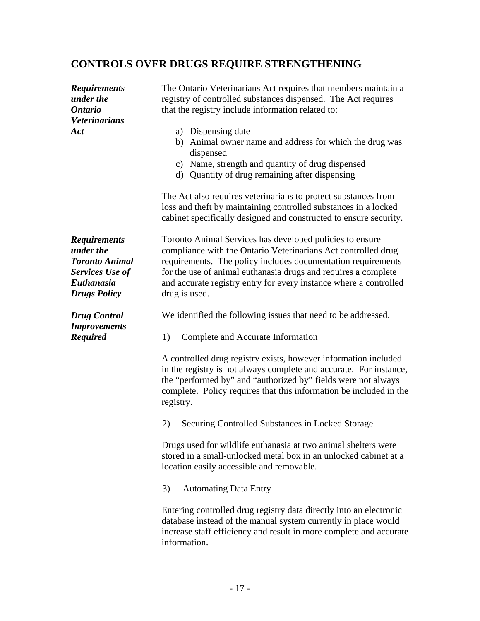| <b>CONTROLS OVER DRUGS REQUIRE STRENGTHENING</b> |                                                                      |  |  |  |
|--------------------------------------------------|----------------------------------------------------------------------|--|--|--|
| <b>Requirements</b>                              | The Ontario Veterinarians Act requires that members maintain a       |  |  |  |
| under the                                        | registry of controlled substances dispensed. The Act requires        |  |  |  |
| <b>Ontario</b>                                   | that the registry include information related to:                    |  |  |  |
| <b>Veterinarians</b>                             |                                                                      |  |  |  |
| Act                                              | a) Dispensing date                                                   |  |  |  |
|                                                  | b) Animal owner name and address for which the drug was<br>dispensed |  |  |  |
|                                                  | c) Name, strength and quantity of drug dispensed                     |  |  |  |
|                                                  | d) Quantity of drug remaining after dispensing                       |  |  |  |
|                                                  | The Act also requires veterinarians to protect substances from       |  |  |  |
|                                                  | loss and theft by maintaining controlled substances in a locked      |  |  |  |
|                                                  | cabinet specifically designed and constructed to ensure security.    |  |  |  |
| <b>Requirements</b>                              | Toronto Animal Services has developed policies to ensure             |  |  |  |
| under the                                        | compliance with the Ontario Veterinarians Act controlled drug        |  |  |  |
| <b>Toronto Animal</b>                            | requirements. The policy includes documentation requirements         |  |  |  |
| <b>Services Use of</b>                           | for the use of animal euthanasia drugs and requires a complete       |  |  |  |
| Euthanasia                                       | and accurate registry entry for every instance where a controlled    |  |  |  |
| <b>Drugs Policy</b>                              | drug is used.                                                        |  |  |  |
| <b>Drug Control</b><br><b>Improvements</b>       | We identified the following issues that need to be addressed.        |  |  |  |
| <b>Required</b>                                  | 1) Complete and Accurate Information                                 |  |  |  |
|                                                  | A controlled drug registry exists, however information included      |  |  |  |
|                                                  | in the registry is not always complete and accurate. For instance,   |  |  |  |
|                                                  | the "performed by" and "authorized by" fields were not always        |  |  |  |
|                                                  | complete. Policy requires that this information be included in the   |  |  |  |
|                                                  | registry.                                                            |  |  |  |
|                                                  | 2) Securing Controlled Substances in Locked Storage                  |  |  |  |
|                                                  | Drugs used for wildlife euthanasia at two animal shelters were       |  |  |  |
|                                                  | stored in a small-unlocked metal box in an unlocked cabinet at a     |  |  |  |
|                                                  | location easily accessible and removable.                            |  |  |  |
|                                                  | 3) Automating Data Entry                                             |  |  |  |
|                                                  | Entering controlled drug registry data directly into an electronic   |  |  |  |
|                                                  | database instead of the manual system currently in place would       |  |  |  |
|                                                  | increase staff efficiency and result in more complete and accurate   |  |  |  |
|                                                  | information.                                                         |  |  |  |
|                                                  |                                                                      |  |  |  |
|                                                  |                                                                      |  |  |  |
|                                                  | $-17-$                                                               |  |  |  |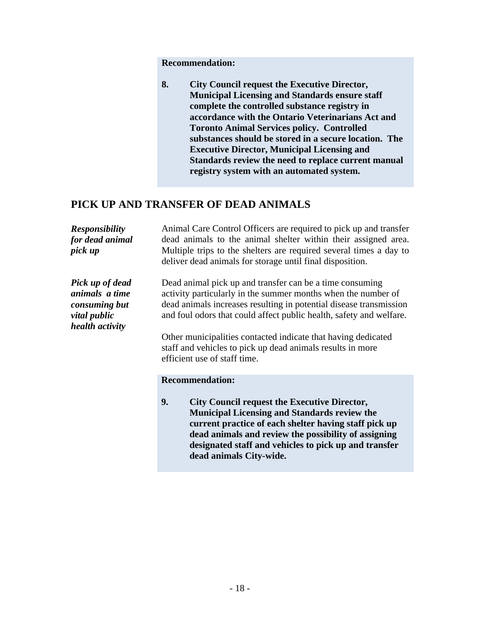### **PICK UP AND TRANSFER OF DEAD ANIMALS**

|                                                                                       | <b>Recommendation:</b>                                                                                                                                                                                                                                                                                                                                                                                                                                                                     |
|---------------------------------------------------------------------------------------|--------------------------------------------------------------------------------------------------------------------------------------------------------------------------------------------------------------------------------------------------------------------------------------------------------------------------------------------------------------------------------------------------------------------------------------------------------------------------------------------|
|                                                                                       | <b>City Council request the Executive Director,</b><br><b>Municipal Licensing and Standards ensure staff</b><br>complete the controlled substance registry in<br>accordance with the Ontario Veterinarians Act and<br><b>Toronto Animal Services policy. Controlled</b><br>substances should be stored in a secure location. The<br><b>Executive Director, Municipal Licensing and</b><br>Standards review the need to replace current manual<br>registry system with an automated system. |
|                                                                                       | PICK UP AND TRANSFER OF DEAD ANIMALS                                                                                                                                                                                                                                                                                                                                                                                                                                                       |
| Responsibility<br>for dead animal<br>pick up                                          | Animal Care Control Officers are required to pick up and transfer<br>dead animals to the animal shelter within their assigned area.<br>Multiple trips to the shelters are required several times a day to<br>deliver dead animals for storage until final disposition.                                                                                                                                                                                                                     |
| Pick up of dead<br>animals a time<br>consuming but<br>vital public<br>health activity | Dead animal pick up and transfer can be a time consuming<br>activity particularly in the summer months when the number of<br>dead animals increases resulting in potential disease transmission<br>and foul odors that could affect public health, safety and welfare.<br>Other municipalities contacted indicate that having dedicated<br>staff and vehicles to pick up dead animals results in more<br>efficient use of staff time.                                                      |
|                                                                                       | <b>Recommendation:</b>                                                                                                                                                                                                                                                                                                                                                                                                                                                                     |
|                                                                                       | <b>City Council request the Executive Director,</b><br>Municipal Licensing and Standards review the<br>current practice of each shelter having staff pick up<br>dead animals and review the possibility of assigning<br>designated staff and vehicles to pick up and transfer<br>dead animals City-wide.                                                                                                                                                                                   |
|                                                                                       |                                                                                                                                                                                                                                                                                                                                                                                                                                                                                            |
|                                                                                       |                                                                                                                                                                                                                                                                                                                                                                                                                                                                                            |
|                                                                                       |                                                                                                                                                                                                                                                                                                                                                                                                                                                                                            |
|                                                                                       | $-18-$                                                                                                                                                                                                                                                                                                                                                                                                                                                                                     |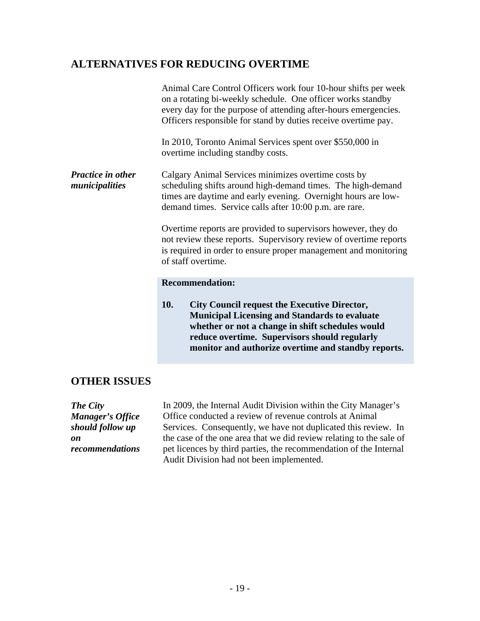|                                                                                  | <b>ALTERNATIVES FOR REDUCING OVERTIME</b>                                                                                                                                                                                                                                                                                                                                           |
|----------------------------------------------------------------------------------|-------------------------------------------------------------------------------------------------------------------------------------------------------------------------------------------------------------------------------------------------------------------------------------------------------------------------------------------------------------------------------------|
|                                                                                  | Animal Care Control Officers work four 10-hour shifts per week<br>on a rotating bi-weekly schedule. One officer works standby<br>every day for the purpose of attending after-hours emergencies.<br>Officers responsible for stand by duties receive overtime pay.                                                                                                                  |
|                                                                                  | In 2010, Toronto Animal Services spent over \$550,000 in<br>overtime including standby costs.                                                                                                                                                                                                                                                                                       |
| Practice in other<br>municipalities                                              | Calgary Animal Services minimizes overtime costs by<br>scheduling shifts around high-demand times. The high-demand<br>times are daytime and early evening. Overnight hours are low-<br>demand times. Service calls after 10:00 p.m. are rare.                                                                                                                                       |
|                                                                                  | Overtime reports are provided to supervisors however, they do<br>not review these reports. Supervisory review of overtime reports<br>is required in order to ensure proper management and monitoring<br>of staff overtime.                                                                                                                                                          |
|                                                                                  | <b>Recommendation:</b>                                                                                                                                                                                                                                                                                                                                                              |
|                                                                                  | <b>City Council request the Executive Director,</b><br><b>10.</b><br><b>Municipal Licensing and Standards to evaluate</b><br>whether or not a change in shift schedules would<br>reduce overtime. Supervisors should regularly<br>monitor and authorize overtime and standby reports.                                                                                               |
| <b>OTHER ISSUES</b>                                                              |                                                                                                                                                                                                                                                                                                                                                                                     |
| The City<br><b>Manager's Office</b><br>should follow up<br>on<br>recommendations | In 2009, the Internal Audit Division within the City Manager's<br>Office conducted a review of revenue controls at Animal<br>Services. Consequently, we have not duplicated this review. In<br>the case of the one area that we did review relating to the sale of<br>pet licences by third parties, the recommendation of the Internal<br>Audit Division had not been implemented. |
|                                                                                  |                                                                                                                                                                                                                                                                                                                                                                                     |
|                                                                                  |                                                                                                                                                                                                                                                                                                                                                                                     |
|                                                                                  | $-19-$                                                                                                                                                                                                                                                                                                                                                                              |

#### **OTHER ISSUES**

| The City                | In 2009, the Internal Audit Division within the City Manager's      |
|-------------------------|---------------------------------------------------------------------|
| <b>Manager's Office</b> | Office conducted a review of revenue controls at Animal             |
| should follow up        | Services. Consequently, we have not duplicated this review. In      |
|                         | the case of the one area that we did review relating to the sale of |
| recommendations         | pet licences by third parties, the recommendation of the Internal   |
|                         | Audit Division had not been implemented.                            |